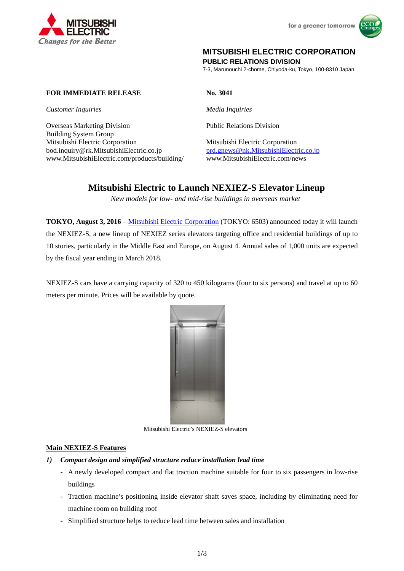



## **MITSUBISHI ELECTRIC CORPORATION**

**PUBLIC RELATIONS DIVISION** 

7-3, Marunouchi 2-chome, Chiyoda-ku, Tokyo, 100-8310 Japan

### **FOR IMMEDIATE RELEASE No. 3041**

*Customer Inquiries Media Inquiries* 

Overseas Marketing Division Public Relations Division Building System Group Mitsubishi Electric Corporation Mitsubishi Electric Corporation bod.inquiry@rk.MitsubishiElectric.co.jp prd.gnews@nk.MitsubishiElectric.co.jp www.MitsubishiElectric.com/products/building/ www.MitsubishiElectric.com/news

# **Mitsubishi Electric to Launch NEXIEZ-S Elevator Lineup**

*New models for low- and mid-rise buildings in overseas market* 

**TOKYO, August 3, 2016** – Mitsubishi Electric Corporation (TOKYO: 6503) announced today it will launch the NEXIEZ-S, a new lineup of NEXIEZ series elevators targeting office and residential buildings of up to 10 stories, particularly in the Middle East and Europe, on August 4. Annual sales of 1,000 units are expected by the fiscal year ending in March 2018.

NEXIEZ-S cars have a carrying capacity of 320 to 450 kilograms (four to six persons) and travel at up to 60 meters per minute. Prices will be available by quote.



Mitsubishi Electric's NEXIEZ-S elevators

#### **Main NEXIEZ-S Features**

- *1) Compact design and simplified structure reduce installation lead time* 
	- A newly developed compact and flat traction machine suitable for four to six passengers in low-rise buildings
	- Traction machine's positioning inside elevator shaft saves space, including by eliminating need for machine room on building roof
	- Simplified structure helps to reduce lead time between sales and installation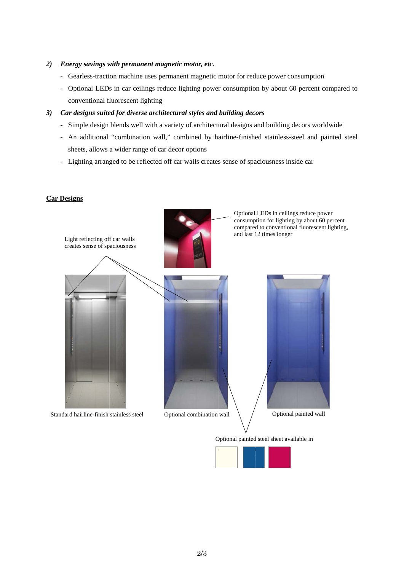#### 2) Energy savings with permanent magnetic motor, etc.

- Gearless-traction machine uses permanent magnetic motor for reduce power consumption
- Optional LEDs in car ceilings reduce lighting power consumption by about 60 percent compared to conventional fluorescent lighting

#### 3) Car designs suited for diverse architectural styles and building decors

- Simple design blends well with a variety of architectural designs and building decors worldwide
- An additional "combination wall," combined by hairline-finished stainless-steel and painted steel sheets, allows a wider range of car decor options
- Lighting arranged to be reflected off car walls creates sense of spaciousness inside car

#### **Car Designs**